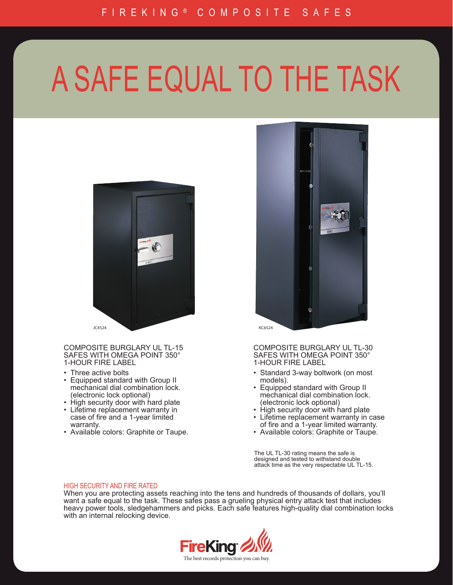## A SAFE EQUAL TO THE TASK



COMPOSITE BURGLARY UL TL-15 SAFES WITH OMEGA POINT 350° 1-HOUR FIRE LABEL

- Three active bolts
- Equipped standard with Group II mechanical dial combination lock. (electronic lock optional)
- High security door with hard plate
- Lifetime replacement warranty in case of fire and a 1-year limited warranty.
- Available colors: Graphite or Taupe.



COMPOSITE BURGLARY UL TL-30 SAFES WITH OMEGA POINT 350°<br>1-HOUR FIRE LABEL

- Standard 3-way boltwork (on most models).
- Equipped standard with Group II mechanical dial combination lock. (electronic lock optional)
- High security door with hard plate
- Lifetime replacement warranty in case of fire and a 1-year limited warranty.
- Available colors: Graphite or Taupe.

The UL TL-30 rating means the safe is designed and tested to withstand double attack time as the very respectable UL TL-15.

## HIGH SECURITY AND FIRE RATED

When you are protecting assets reaching into the tens and hundreds of thousands of dollars, you'll want a safe equal to the task. These safes pass a grueling physical entry attack test that includes heavy power tools, sledgehammers and picks. Each safe features high-quality dial combination locks with an internal relocking device.